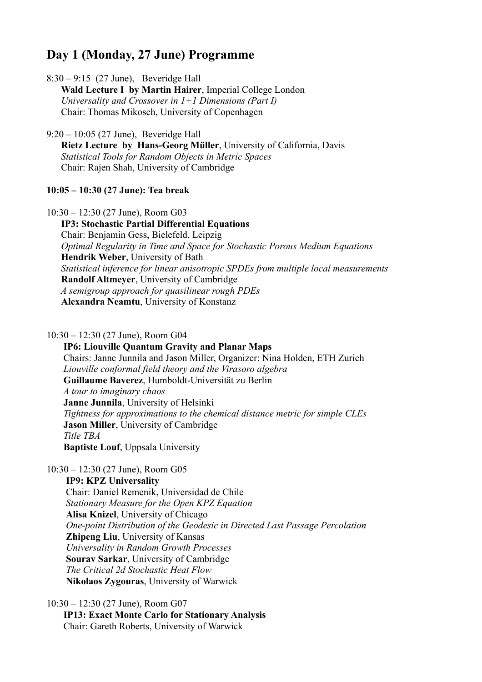# **Day 1 (Monday, 27 June) Programme**

8:30 – 9:15 (27 June), Beveridge Hall

 **Wald Lecture I by Martin Hairer**, Imperial College London  *Universality and Crossover in 1+1 Dimensions (Part I)* Chair: Thomas Mikosch, University of Copenhagen

9:20 – 10:05 (27 June), Beveridge Hall

 **Rietz Lecture by Hans-Georg Müller**, University of California, Davis *Statistical Tools for Random Objects in Metric Spaces* Chair: Rajen Shah, University of Cambridge

## **10:05 – 10:30 (27 June): Tea break**

10:30 – 12:30 (27 June), Room G03

 **IP3: Stochastic Partial Differential Equations** Chair: Benjamin Gess, Bielefeld, Leipzig  *Optimal Regularity in Time and Space for Stochastic Porous Medium Equations* **Hendrik Weber**, University of Bath *Statistical inference for linear anisotropic SPDEs from multiple local measurements* **Randolf Altmeyer**, University of Cambridge  *A semigroup approach for quasilinear rough PDEs* **Alexandra Neamtu**, University of Konstanz

10:30 – 12:30 (27 June), Room G04

 **IP6: Liouville Quantum Gravity and Planar Maps** Chairs: Janne Junnila and Jason Miller, Organizer: Nina Holden, ETH Zurich *Liouville conformal field theory and the Virasoro algebra* **Guillaume Baverez**, Humboldt-Universität zu Berlin  *A tour to imaginary chaos* **Janne Junnila**, University of Helsinki  *Tightness for approximations to the chemical distance metric for simple CLEs* **Jason Miller**, University of Cambridge *Title TBA* **Baptiste Louf**, Uppsala University

10:30 – 12:30 (27 June), Room G05

 **IP9: KPZ Universality** Chair: Daniel Remenik, Universidad de Chile  *Stationary Measure for the Open KPZ Equation* **Alisa Knizel**, University of Chicago  *One-point Distribution of the Geodesic in Directed Last Passage Percolation* **Zhipeng Liu**, University of Kansas  *Universality in Random Growth Processes* **Sourav Sarkar**, University of Cambridge  *The Critical 2d Stochastic Heat Flow* **Nikolaos Zygouras**, University of Warwick

10:30 – 12:30 (27 June), Room G07 **IP13: Exact Monte Carlo for Stationary Analysis** Chair: Gareth Roberts, University of Warwick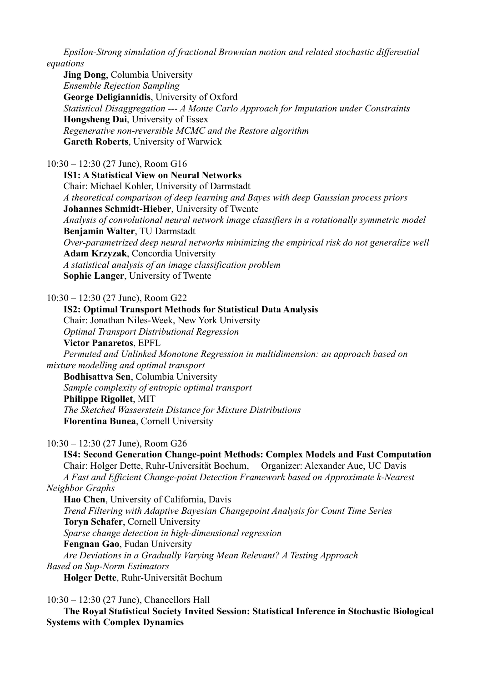*Epsilon-Strong simulation of fractional Brownian motion and related stochastic differential equations*

 **Jing Dong**, Columbia University  *Ensemble Rejection Sampling* **George Deligiannidis**, University of Oxford  *Statistical Disaggregation --- A Monte Carlo Approach for Imputation under Constraints* **Hongsheng Dai**, University of Essex  *Regenerative non-reversible MCMC and the Restore algorithm* **Gareth Roberts**, University of Warwick

10:30 – 12:30 (27 June), Room G16

 **IS1: A Statistical View on Neural Networks** Chair: Michael Kohler, University of Darmstadt *A theoretical comparison of deep learning and Bayes with deep Gaussian process priors* **Johannes Schmidt-Hieber**, University of Twente *Analysis of convolutional neural network image classifiers in a rotationally symmetric model* **Benjamin Walter**, TU Darmstadt *Over-parametrized deep neural networks minimizing the empirical risk do not generalize well*  **Adam Krzyzak**, Concordia University  *A statistical analysis of an image classification problem* **Sophie Langer**, University of Twente

10:30 – 12:30 (27 June), Room G22

 **IS2: Optimal Transport Methods for Statistical Data Analysis** Chair: Jonathan Niles-Week, New York University  *Optimal Transport Distributional Regression* **Victor Panaretos**, EPFL *Permuted and Unlinked Monotone Regression in multidimension: an approach based on mixture modelling and optimal transport* **Bodhisattva Sen**, Columbia University  *Sample complexity of entropic optimal transport* **Philippe Rigollet**, MIT  *The Sketched Wasserstein Distance for Mixture Distributions* **Florentina Bunea**, Cornell University

10:30 – 12:30 (27 June), Room G26

 **IS4: Second Generation Change-point Methods: Complex Models and Fast Computation** Chair: Holger Dette, Ruhr-Universität Bochum, Organizer: Alexander Aue, UC Davis  *A Fast and Efficient Change-point Detection Framework based on Approximate k-Nearest Neighbor Graphs* **Hao Chen**, University of California, Davis *Trend Filtering with Adaptive Bayesian Changepoint Analysis for Count Time Series*  **Toryn Schafer**, Cornell University *Sparse change detection in high-dimensional regression* **Fengnan Gao**, Fudan University  *Are Deviations in a Gradually Varying Mean Relevant? A Testing Approach Based on Sup-Norm Estimators* **Holger Dette**, Ruhr-Universität Bochum

10:30 – 12:30 (27 June), Chancellors Hall

 **The Royal Statistical Society Invited Session: Statistical Inference in Stochastic Biological Systems with Complex Dynamics**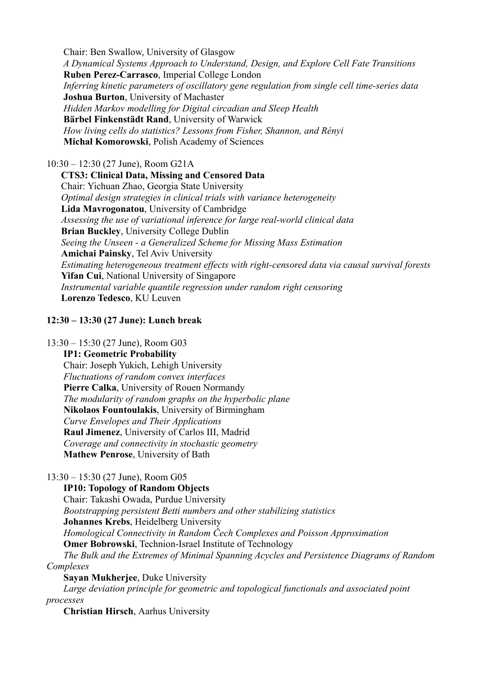Chair: Ben Swallow, University of Glasgow  *A Dynamical Systems Approach to Understand, Design, and Explore Cell Fate Transitions* **Ruben Perez-Carrasco**, Imperial College London  *Inferring kinetic parameters of oscillatory gene regulation from single cell time-series data* **Joshua Burton**, University of Machaster  *Hidden Markov modelling for Digital circadian and Sleep Health* **Bärbel Finkenstädt Rand**, University of Warwick  *How living cells do statistics? Lessons from Fisher, Shannon, and Rényi* **Michał Komorowski**, Polish Academy of Sciences

# 10:30 – 12:30 (27 June), Room G21A

 **CTS3: Clinical Data, Missing and Censored Data** Chair: Yichuan Zhao, Georgia State University *Optimal design strategies in clinical trials with variance heterogeneity* **Lida Mavrogonatou**, University of Cambridge *Assessing the use of variational inference for large real-world clinical data* **Brian Buckley**, University College Dublin *Seeing the Unseen - a Generalized Scheme for Missing Mass Estimation* **Amichai Painsky**, Tel Aviv University *Estimating heterogeneous treatment effects with right-censored data via causal survival forests* **Yifan Cui**, National University of Singapore *Instrumental variable quantile regression under random right censoring* **Lorenzo Tedesco**, KU Leuven

# **12:30 – 13:30 (27 June): Lunch break**

## 13:30 – 15:30 (27 June), Room G03

**IP1: Geometric Probability**

 Chair: Joseph Yukich, Lehigh University  *Fluctuations of random convex interfaces* **Pierre Calka**, University of Rouen Normandy *The modularity of random graphs on the hyperbolic plane* **Nikolaos Fountoulakis**, University of Birmingham  *Curve Envelopes and Their Applications* **Raul Jimenez**, University of Carlos III, Madrid  *Coverage and connectivity in stochastic geometry* **Mathew Penrose**, University of Bath

# 13:30 – 15:30 (27 June), Room G05

 **IP10: Topology of Random Objects** Chair: Takashi Owada, Purdue University  *Bootstrapping persistent Betti numbers and other stabilizing statistics* **Johannes Krebs**, Heidelberg University  *Homological Connectivity in Random Čech Complexes and Poisson Approximation* **Omer Bobrowski**, Technion-Israel Institute of Technology  *The Bulk and the Extremes of Minimal Spanning Acycles and Persistence Diagrams of Random* 

*Complexes*

 **Sayan Mukherjee**, Duke University *Large deviation principle for geometric and topological functionals and associated point processes*

**Christian Hirsch**, Aarhus University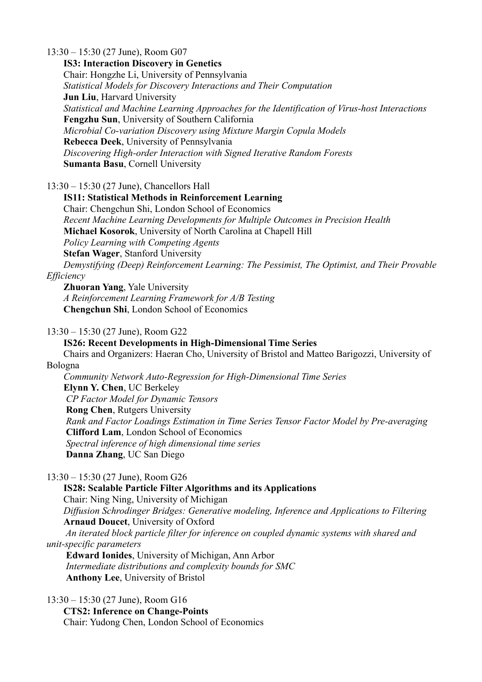13:30 – 15:30 (27 June), Room G07 **IS3: Interaction Discovery in Genetics** Chair: Hongzhe Li, University of Pennsylvania  *Statistical Models for Discovery Interactions and Their Computation* **Jun Liu**, Harvard University  *Statistical and Machine Learning Approaches for the Identification of Virus-host Interactions* **Fengzhu Sun**, University of Southern California  *Microbial Co-variation Discovery using Mixture Margin Copula Models* **Rebecca Deek**, University of Pennsylvania  *Discovering High-order Interaction with Signed Iterative Random Forests* **Sumanta Basu**, Cornell University

13:30 – 15:30 (27 June), Chancellors Hall

 **IS11: Statistical Methods in Reinforcement Learning** Chair: Chengchun Shi, London School of Economics  *Recent Machine Learning Developments for Multiple Outcomes in Precision Health* **Michael Kosorok**, University of North Carolina at Chapell Hill  *Policy Learning with Competing Agents* **Stefan Wager**, Stanford University  *Demystifying (Deep) Reinforcement Learning: The Pessimist, The Optimist, and Their Provable Efficiency*

 **Zhuoran Yang**, Yale University *A Reinforcement Learning Framework for A/B Testing* **Chengchun Shi**, London School of Economics

### 13:30 – 15:30 (27 June), Room G22

**IS26: Recent Developments in High-Dimensional Time Series**

 Chairs and Organizers: Haeran Cho, University of Bristol and Matteo Barigozzi, University of Bologna

 *Community Network Auto-Regression for High-Dimensional Time Series* **Elynn Y. Chen**, UC Berkeley  *CP Factor Model for Dynamic Tensors* **Rong Chen**, Rutgers University *Rank and Factor Loadings Estimation in Time Series Tensor Factor Model by Pre-averaging* **Clifford Lam**, London School of Economics  *Spectral inference of high dimensional time series* **Danna Zhang**, UC San Diego

13:30 – 15:30 (27 June), Room G26

 **IS28: Scalable Particle Filter Algorithms and its Applications** Chair: Ning Ning, University of Michigan  *Diffusion Schrodinger Bridges: Generative modeling, Inference and Applications to Filtering* **Arnaud Doucet**, University of Oxford  *An iterated block particle filter for inference on coupled dynamic systems with shared and unit-specific parameters* **Edward Ionides**, University of Michigan, Ann Arbor

 *Intermediate distributions and complexity bounds for SMC* **Anthony Lee**, University of Bristol

13:30 – 15:30 (27 June), Room G16

 **CTS2: Inference on Change-Points** Chair: Yudong Chen, London School of Economics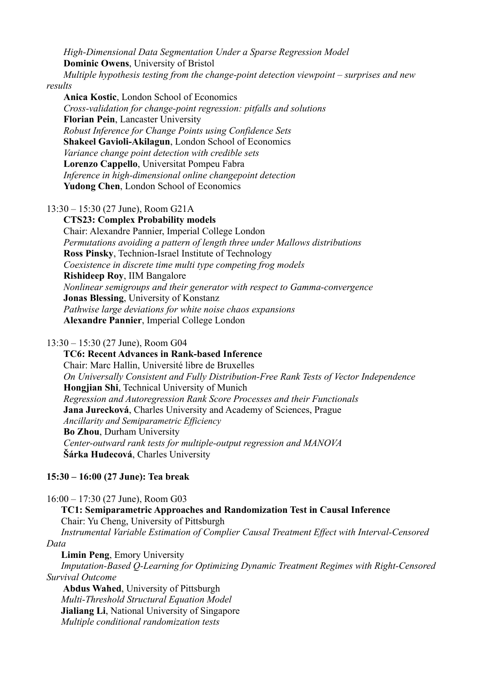*High-Dimensional Data Segmentation Under a Sparse Regression Model* **Dominic Owens**, University of Bristol

 *Multiple hypothesis testing from the change-point detection viewpoint – surprises and new results*

 **Anica Kostic**, London School of Economics *Cross-validation for change-point regression: pitfalls and solutions* **Florian Pein**, Lancaster University *Robust Inference for Change Points using Confidence Sets* **Shakeel Gavioli-Akilagun**, London School of Economics *Variance change point detection with credible sets* **Lorenzo Cappello**, Universitat Pompeu Fabra *Inference in high-dimensional online changepoint detection* **Yudong Chen**, London School of Economics

13:30 – 15:30 (27 June), Room G21A

 **CTS23: Complex Probability models** Chair: Alexandre Pannier, Imperial College London *Permutations avoiding a pattern of length three under Mallows distributions* **Ross Pinsky**, Technion-Israel Institute of Technology *Coexistence in discrete time multi type competing frog models* **Rishideep Roy**, IIM Bangalore *Nonlinear semigroups and their generator with respect to Gamma-convergence* **Jonas Blessing**, University of Konstanz *Pathwise large deviations for white noise chaos expansions* **Alexandre Pannier**, Imperial College London

#### 13:30 – 15:30 (27 June), Room G04

 **TC6: Recent Advances in Rank-based Inference** Chair: Marc Hallin, Université libre de Bruxelles *On Universally Consistent and Fully Distribution-Free Rank Tests of Vector Independence* **Hongjian Shi**, Technical University of Munich *Regression and Autoregression Rank Score Processes and their Functionals*  **Jana Jurecková**, Charles University and Academy of Sciences, Prague *Ancillarity and Semiparametric Efficiency* **Bo Zhou**, Durham University *Center-outward rank tests for multiple-output regression and MANOVA* **Šárka Hudecová**, Charles University

### **15:30 – 16:00 (27 June): Tea break**

16:00 – 17:30 (27 June), Room G03

 **TC1: Semiparametric Approaches and Randomization Test in Causal Inference** Chair: Yu Cheng, University of Pittsburgh *Instrumental Variable Estimation of Complier Causal Treatment Effect with Interval-Censored Data*

**Limin Peng**, Emory University

 *Imputation-Based Q-Learning for Optimizing Dynamic Treatment Regimes with Right-Censored Survival Outcome* 

**Abdus Wahed**, University of Pittsburgh  *Multi-Threshold Structural Equation Model* **Jialiang Li**, National University of Singapore *Multiple conditional randomization tests*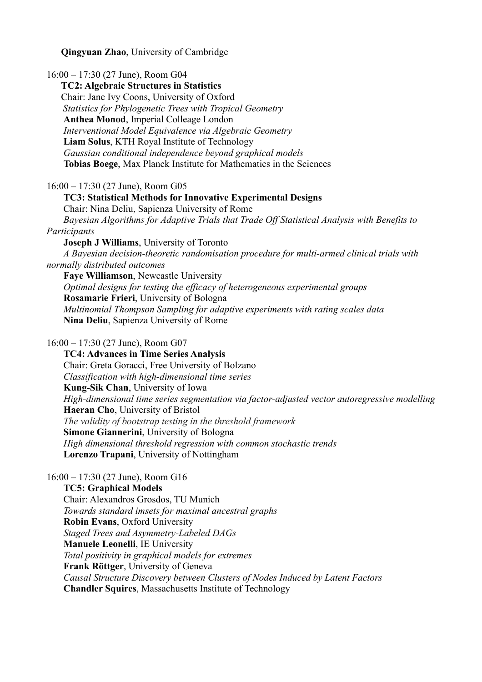**Qingyuan Zhao**, University of Cambridge

16:00 – 17:30 (27 June), Room G04 **TC2: Algebraic Structures in Statistics** Chair: Jane Ivy Coons, University of Oxford *Statistics for Phylogenetic Trees with Tropical Geometry* **Anthea Monod**, Imperial Colleage London *Interventional Model Equivalence via Algebraic Geometry* **Liam Solus**, KTH Royal Institute of Technology *Gaussian conditional independence beyond graphical models* **Tobias Boege**, Max Planck Institute for Mathematics in the Sciences 16:00 – 17:30 (27 June), Room G05 **TC3: Statistical Methods for Innovative Experimental Designs**

 Chair: Nina Deliu, Sapienza University of Rome *Bayesian Algorithms for Adaptive Trials that Trade Off Statistical Analysis with Benefits to Participants* **Joseph J Williams**, University of Toronto

 *A Bayesian decision-theoretic randomisation procedure for multi-armed clinical trials with normally distributed outcomes*

 **Faye Williamson**, Newcastle University *Optimal designs for testing the efficacy of heterogeneous experimental groups* **Rosamarie Frieri**, University of Bologna *Multinomial Thompson Sampling for adaptive experiments with rating scales data* **Nina Deliu**, Sapienza University of Rome

16:00 – 17:30 (27 June), Room G07

 **TC4: Advances in Time Series Analysis** Chair: Greta Goracci, Free University of Bolzano *Classification with high-dimensional time series* **Kung-Sik Chan**, University of Iowa  *High-dimensional time series segmentation via factor-adjusted vector autoregressive modelling* **Haeran Cho**, University of Bristol *The validity of bootstrap testing in the threshold framework* **Simone Giannerini**, University of Bologna *High dimensional threshold regression with common stochastic trends* **Lorenzo Trapani**, University of Nottingham

16:00 – 17:30 (27 June), Room G16

 **TC5: Graphical Models** Chair: Alexandros Grosdos, TU Munich *Towards standard imsets for maximal ancestral graphs* **Robin Evans**, Oxford University  *Staged Trees and Asymmetry-Labeled DAGs* **Manuele Leonelli**, IE University *Total positivity in graphical models for extremes* **Frank Röttger**, University of Geneva *Causal Structure Discovery between Clusters of Nodes Induced by Latent Factors* **Chandler Squires**, Massachusetts Institute of Technology